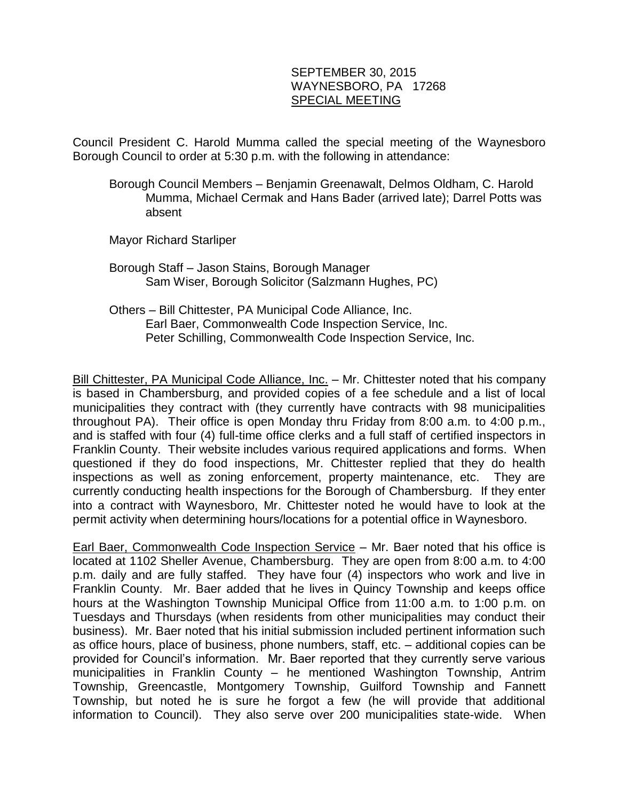## SEPTEMBER 30, 2015 WAYNESBORO, PA 17268 SPECIAL MEETING

Council President C. Harold Mumma called the special meeting of the Waynesboro Borough Council to order at 5:30 p.m. with the following in attendance:

- Borough Council Members Benjamin Greenawalt, Delmos Oldham, C. Harold Mumma, Michael Cermak and Hans Bader (arrived late); Darrel Potts was absent
- Mayor Richard Starliper
- Borough Staff Jason Stains, Borough Manager Sam Wiser, Borough Solicitor (Salzmann Hughes, PC)
- Others Bill Chittester, PA Municipal Code Alliance, Inc. Earl Baer, Commonwealth Code Inspection Service, Inc. Peter Schilling, Commonwealth Code Inspection Service, Inc.

Bill Chittester, PA Municipal Code Alliance, Inc. - Mr. Chittester noted that his company is based in Chambersburg, and provided copies of a fee schedule and a list of local municipalities they contract with (they currently have contracts with 98 municipalities throughout PA). Their office is open Monday thru Friday from 8:00 a.m. to 4:00 p.m., and is staffed with four (4) full-time office clerks and a full staff of certified inspectors in Franklin County. Their website includes various required applications and forms. When questioned if they do food inspections, Mr. Chittester replied that they do health inspections as well as zoning enforcement, property maintenance, etc. They are currently conducting health inspections for the Borough of Chambersburg. If they enter into a contract with Waynesboro, Mr. Chittester noted he would have to look at the permit activity when determining hours/locations for a potential office in Waynesboro.

Earl Baer, Commonwealth Code Inspection Service – Mr. Baer noted that his office is located at 1102 Sheller Avenue, Chambersburg. They are open from 8:00 a.m. to 4:00 p.m. daily and are fully staffed. They have four (4) inspectors who work and live in Franklin County. Mr. Baer added that he lives in Quincy Township and keeps office hours at the Washington Township Municipal Office from 11:00 a.m. to 1:00 p.m. on Tuesdays and Thursdays (when residents from other municipalities may conduct their business). Mr. Baer noted that his initial submission included pertinent information such as office hours, place of business, phone numbers, staff, etc. – additional copies can be provided for Council's information. Mr. Baer reported that they currently serve various municipalities in Franklin County – he mentioned Washington Township, Antrim Township, Greencastle, Montgomery Township, Guilford Township and Fannett Township, but noted he is sure he forgot a few (he will provide that additional information to Council). They also serve over 200 municipalities state-wide. When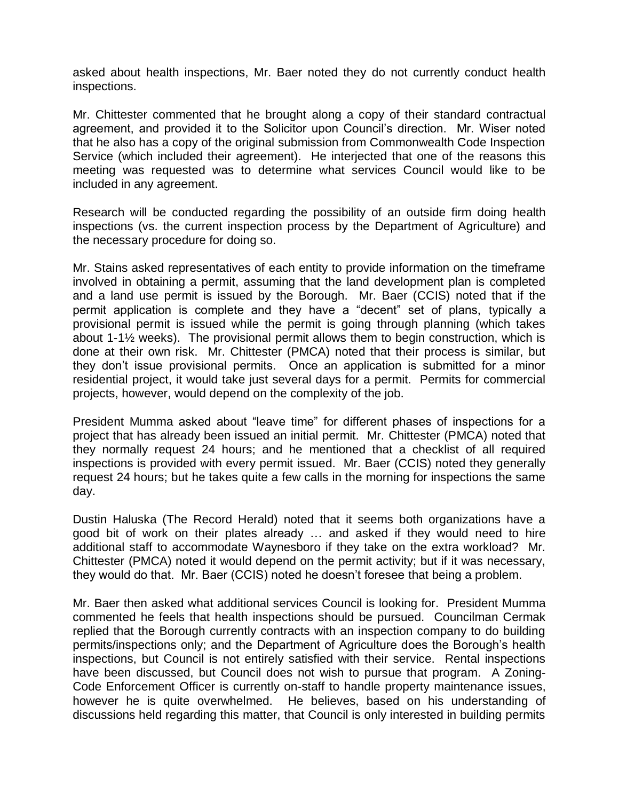asked about health inspections, Mr. Baer noted they do not currently conduct health inspections.

Mr. Chittester commented that he brought along a copy of their standard contractual agreement, and provided it to the Solicitor upon Council's direction. Mr. Wiser noted that he also has a copy of the original submission from Commonwealth Code Inspection Service (which included their agreement). He interjected that one of the reasons this meeting was requested was to determine what services Council would like to be included in any agreement.

Research will be conducted regarding the possibility of an outside firm doing health inspections (vs. the current inspection process by the Department of Agriculture) and the necessary procedure for doing so.

Mr. Stains asked representatives of each entity to provide information on the timeframe involved in obtaining a permit, assuming that the land development plan is completed and a land use permit is issued by the Borough. Mr. Baer (CCIS) noted that if the permit application is complete and they have a "decent" set of plans, typically a provisional permit is issued while the permit is going through planning (which takes about 1-1½ weeks). The provisional permit allows them to begin construction, which is done at their own risk. Mr. Chittester (PMCA) noted that their process is similar, but they don't issue provisional permits. Once an application is submitted for a minor residential project, it would take just several days for a permit. Permits for commercial projects, however, would depend on the complexity of the job.

President Mumma asked about "leave time" for different phases of inspections for a project that has already been issued an initial permit. Mr. Chittester (PMCA) noted that they normally request 24 hours; and he mentioned that a checklist of all required inspections is provided with every permit issued. Mr. Baer (CCIS) noted they generally request 24 hours; but he takes quite a few calls in the morning for inspections the same day.

Dustin Haluska (The Record Herald) noted that it seems both organizations have a good bit of work on their plates already … and asked if they would need to hire additional staff to accommodate Waynesboro if they take on the extra workload? Mr. Chittester (PMCA) noted it would depend on the permit activity; but if it was necessary, they would do that. Mr. Baer (CCIS) noted he doesn't foresee that being a problem.

Mr. Baer then asked what additional services Council is looking for. President Mumma commented he feels that health inspections should be pursued. Councilman Cermak replied that the Borough currently contracts with an inspection company to do building permits/inspections only; and the Department of Agriculture does the Borough's health inspections, but Council is not entirely satisfied with their service. Rental inspections have been discussed, but Council does not wish to pursue that program. A Zoning-Code Enforcement Officer is currently on-staff to handle property maintenance issues, however he is quite overwhelmed. He believes, based on his understanding of discussions held regarding this matter, that Council is only interested in building permits